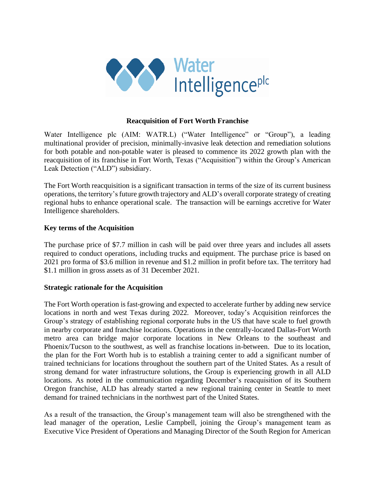

## **Reacquisition of Fort Worth Franchise**

Water Intelligence plc (AIM: WATR.L) ("Water Intelligence" or "Group"), a leading multinational provider of precision, minimally-invasive leak detection and remediation solutions for both potable and non-potable water is pleased to commence its 2022 growth plan with the reacquisition of its franchise in Fort Worth, Texas ("Acquisition") within the Group's American Leak Detection ("ALD") subsidiary.

The Fort Worth reacquisition is a significant transaction in terms of the size of its current business operations, the territory's future growth trajectory and ALD's overall corporate strategy of creating regional hubs to enhance operational scale. The transaction will be earnings accretive for Water Intelligence shareholders.

## **Key terms of the Acquisition**

The purchase price of \$7.7 million in cash will be paid over three years and includes all assets required to conduct operations, including trucks and equipment. The purchase price is based on 2021 pro forma of \$3.6 million in revenue and \$1.2 million in profit before tax. The territory had \$1.1 million in gross assets as of 31 December 2021.

## **Strategic rationale for the Acquisition**

The Fort Worth operation isfast-growing and expected to accelerate further by adding new service locations in north and west Texas during 2022. Moreover, today's Acquisition reinforces the Group's strategy of establishing regional corporate hubs in the US that have scale to fuel growth in nearby corporate and franchise locations. Operations in the centrally-located Dallas-Fort Worth metro area can bridge major corporate locations in New Orleans to the southeast and Phoenix/Tucson to the southwest, as well as franchise locations in-between. Due to its location, the plan for the Fort Worth hub is to establish a training center to add a significant number of trained technicians for locations throughout the southern part of the United States. As a result of strong demand for water infrastructure solutions, the Group is experiencing growth in all ALD locations. As noted in the communication regarding December's reacquisition of its Southern Oregon franchise, ALD has already started a new regional training center in Seattle to meet demand for trained technicians in the northwest part of the United States.

As a result of the transaction, the Group's management team will also be strengthened with the lead manager of the operation, Leslie Campbell, joining the Group's management team as Executive Vice President of Operations and Managing Director of the South Region for American